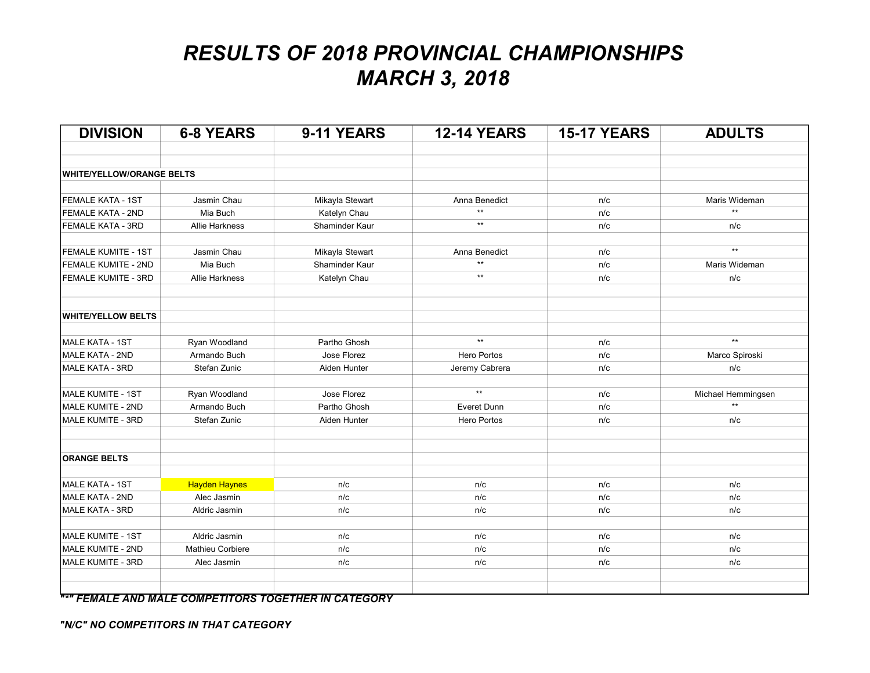| <b>DIVISION</b>                  | <b>6-8 YEARS</b>      | 9-11 YEARS      | <b>12-14 YEARS</b> | <b>15-17 YEARS</b> | <b>ADULTS</b>      |
|----------------------------------|-----------------------|-----------------|--------------------|--------------------|--------------------|
|                                  |                       |                 |                    |                    |                    |
| <b>WHITE/YELLOW/ORANGE BELTS</b> |                       |                 |                    |                    |                    |
|                                  |                       |                 |                    |                    |                    |
| <b>FEMALE KATA - 1ST</b>         | Jasmin Chau           | Mikayla Stewart | Anna Benedict      | n/c                | Maris Wideman      |
| FEMALE KATA - 2ND                | Mia Buch              | Katelyn Chau    | $\star\star$       | n/c                | $^{\star\star}$    |
| FEMALE KATA - 3RD                | <b>Allie Harkness</b> | Shaminder Kaur  | $\star\star$       | n/c                | n/c                |
| FEMALE KUMITE - 1ST              | Jasmin Chau           | Mikayla Stewart | Anna Benedict      | n/c                | $\star\star$       |
| FEMALE KUMITE - 2ND              | Mia Buch              | Shaminder Kaur  | $\star\star$       | n/c                | Maris Wideman      |
| FEMALE KUMITE - 3RD              | Allie Harkness        | Katelyn Chau    | $\star\star$       | n/c                | n/c                |
|                                  |                       |                 |                    |                    |                    |
| <b>WHITE/YELLOW BELTS</b>        |                       |                 |                    |                    |                    |
| <b>MALE KATA - 1ST</b>           | Ryan Woodland         | Partho Ghosh    | $**$               | n/c                | $**$               |
| <b>MALE KATA - 2ND</b>           | Armando Buch          | Jose Florez     | <b>Hero Portos</b> | n/c                | Marco Spiroski     |
| <b>MALE KATA - 3RD</b>           | Stefan Zunic          | Aiden Hunter    | Jeremy Cabrera     | n/c                | n/c                |
| MALE KUMITE - 1ST                | Ryan Woodland         | Jose Florez     | $**$               | n/c                | Michael Hemmingsen |
| MALE KUMITE - 2ND                | Armando Buch          | Partho Ghosh    | Everet Dunn        | n/c                | $\star\star$       |
| MALE KUMITE - 3RD                | Stefan Zunic          | Aiden Hunter    | Hero Portos        | n/c                | n/c                |
|                                  |                       |                 |                    |                    |                    |
| <b>ORANGE BELTS</b>              |                       |                 |                    |                    |                    |
| <b>MALE KATA - 1ST</b>           | <b>Hayden Haynes</b>  | n/c             | n/c                | n/c                | n/c                |
| <b>MALE KATA - 2ND</b>           | Alec Jasmin           | n/c             | n/c                | n/c                | n/c                |
| MALE KATA - 3RD                  | Aldric Jasmin         | n/c             | n/c                | n/c                | n/c                |
| MALE KUMITE - 1ST                | Aldric Jasmin         | n/c             | n/c                | n/c                | n/c                |
| MALE KUMITE - 2ND                | Mathieu Corbiere      | n/c             | n/c                | n/c                | n/c                |
| MALE KUMITE - 3RD                | Alec Jasmin           | n/c             | n/c                | n/c                | n/c                |
|                                  |                       |                 |                    |                    |                    |

"\*" FEMALE AND MALE COMPETITORS TOGETHER IN CATEGORY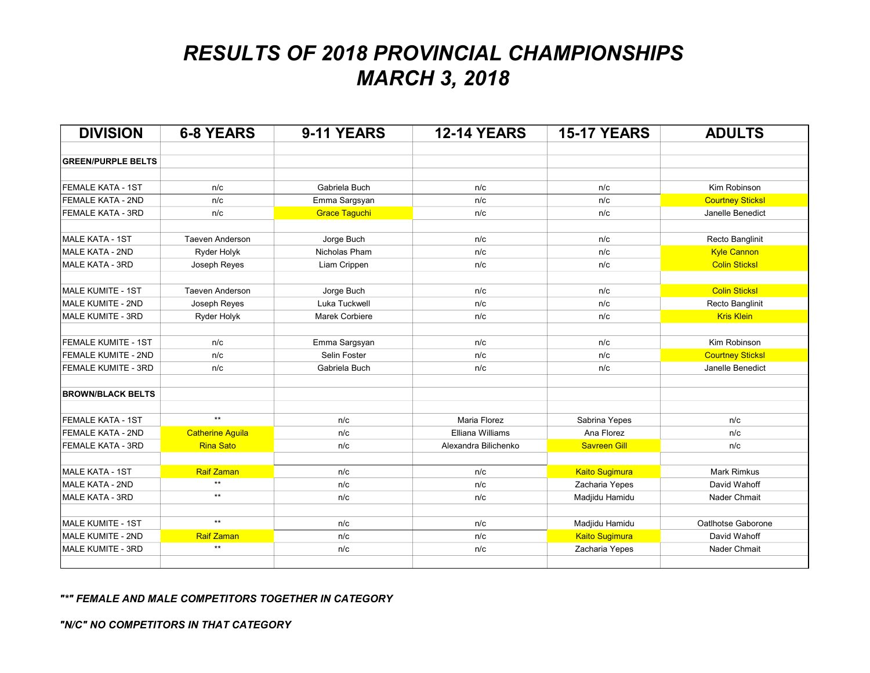| <b>DIVISION</b>            | <b>6-8 YEARS</b>        | 9-11 YEARS           | <b>12-14 YEARS</b>      | <b>15-17 YEARS</b>    | <b>ADULTS</b>           |
|----------------------------|-------------------------|----------------------|-------------------------|-----------------------|-------------------------|
| <b>GREEN/PURPLE BELTS</b>  |                         |                      |                         |                       |                         |
|                            |                         |                      |                         |                       |                         |
| <b>FEMALE KATA - 1ST</b>   | n/c                     | Gabriela Buch        | n/c                     | n/c                   | Kim Robinson            |
| <b>FEMALE KATA - 2ND</b>   | n/c                     | Emma Sargsyan        | n/c                     | n/c                   | <b>Courtney Sticksl</b> |
| <b>FEMALE KATA - 3RD</b>   | n/c                     | <b>Grace Taguchi</b> | n/c                     | n/c                   | Janelle Benedict        |
| MALE KATA - 1ST            | <b>Taeven Anderson</b>  | Jorge Buch           | n/c                     | n/c                   | Recto Banglinit         |
| MALE KATA - 2ND            | Ryder Holyk             | Nicholas Pham        | n/c                     | n/c                   | <b>Kyle Cannon</b>      |
| MALE KATA - 3RD            | Joseph Reyes            | Liam Crippen         | n/c                     | n/c                   | <b>Colin Sticksl</b>    |
| MALE KUMITE - 1ST          | <b>Taeven Anderson</b>  | Jorge Buch           | n/c                     | n/c                   | <b>Colin Sticksl</b>    |
| MALE KUMITE - 2ND          | Joseph Reyes            | Luka Tuckwell        | n/c                     | n/c                   | Recto Banglinit         |
| MALE KUMITE - 3RD          | Ryder Holyk             | Marek Corbiere       | n/c                     | n/c                   | <b>Kris Klein</b>       |
| <b>FEMALE KUMITE - 1ST</b> | n/c                     | Emma Sargsyan        | n/c                     | n/c                   | Kim Robinson            |
| FEMALE KUMITE - 2ND        | n/c                     | Selin Foster         | n/c                     | n/c                   | <b>Courtney Sticksl</b> |
| FEMALE KUMITE - 3RD        | n/c                     | Gabriela Buch        | n/c                     | n/c                   | Janelle Benedict        |
| <b>BROWN/BLACK BELTS</b>   |                         |                      |                         |                       |                         |
| <b>FEMALE KATA - 1ST</b>   | $**$                    | n/c                  | <b>Maria Florez</b>     | Sabrina Yepes         | n/c                     |
| <b>FEMALE KATA - 2ND</b>   | <b>Catherine Aguila</b> | n/c                  | <b>Elliana Williams</b> | Ana Florez            | n/c                     |
| FEMALE KATA - 3RD          | <b>Rina Sato</b>        | n/c                  | Alexandra Bilichenko    | <b>Savreen Gill</b>   | n/c                     |
| MALE KATA - 1ST            | <b>Raif Zaman</b>       | n/c                  | n/c                     | <b>Kaito Sugimura</b> | <b>Mark Rimkus</b>      |
| MALE KATA - 2ND            | $\star\star$            | n/c                  | n/c                     | Zacharia Yepes        | David Wahoff            |
| MALE KATA - 3RD            | $**$                    | n/c                  | n/c                     | Madjidu Hamidu        | Nader Chmait            |
| MALE KUMITE - 1ST          | $\star\star$            | n/c                  | n/c                     | Madjidu Hamidu        | Oatlhotse Gaborone      |
| MALE KUMITE - 2ND          | <b>Raif Zaman</b>       | n/c                  | n/c                     | <b>Kaito Sugimura</b> | David Wahoff            |
| MALE KUMITE - 3RD          | $\star\star$            | n/c                  | n/c                     | Zacharia Yepes        | Nader Chmait            |
|                            |                         |                      |                         |                       |                         |

"\*" FEMALE AND MALE COMPETITORS TOGETHER IN CATEGORY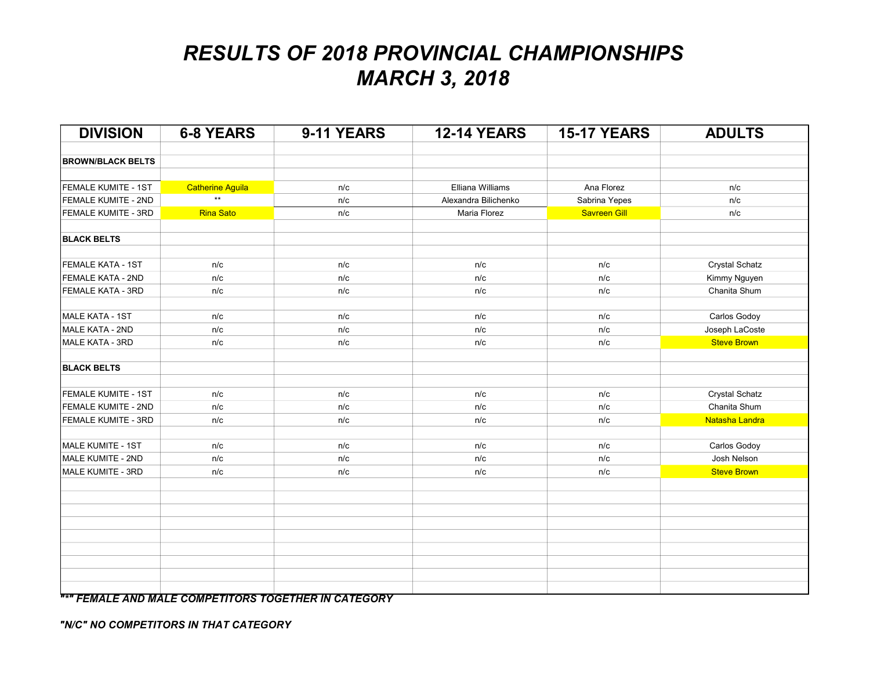| <b>DIVISION</b>          | <b>6-8 YEARS</b>        | 9-11 YEARS | <b>12-14 YEARS</b>   | <b>15-17 YEARS</b>  | <b>ADULTS</b>         |
|--------------------------|-------------------------|------------|----------------------|---------------------|-----------------------|
| <b>BROWN/BLACK BELTS</b> |                         |            |                      |                     |                       |
|                          |                         |            |                      |                     |                       |
| FEMALE KUMITE - 1ST      | <b>Catherine Aguila</b> | n/c        | Elliana Williams     | Ana Florez          | n/c                   |
| FEMALE KUMITE - 2ND      | $\star\star$            | n/c        | Alexandra Bilichenko | Sabrina Yepes       | n/c                   |
| FEMALE KUMITE - 3RD      | <b>Rina Sato</b>        | n/c        | Maria Florez         | <b>Savreen Gill</b> | n/c                   |
| <b>BLACK BELTS</b>       |                         |            |                      |                     |                       |
| FEMALE KATA - 1ST        | n/c                     | n/c        | n/c                  | n/c                 | Crystal Schatz        |
| FEMALE KATA - 2ND        | n/c                     | n/c        | n/c                  | n/c                 | Kimmy Nguyen          |
| FEMALE KATA - 3RD        | n/c                     | n/c        | n/c                  | n/c                 | Chanita Shum          |
| <b>MALE KATA - 1ST</b>   | n/c                     | n/c        | n/c                  | n/c                 | Carlos Godoy          |
| MALE KATA - 2ND          | n/c                     | n/c        | n/c                  | n/c                 | Joseph LaCoste        |
| <b>MALE KATA - 3RD</b>   | n/c                     | n/c        | n/c                  | n/c                 | <b>Steve Brown</b>    |
| <b>BLACK BELTS</b>       |                         |            |                      |                     |                       |
| FEMALE KUMITE - 1ST      | n/c                     | n/c        | n/c                  | n/c                 | <b>Crystal Schatz</b> |
| FEMALE KUMITE - 2ND      | n/c                     | n/c        | n/c                  | n/c                 | Chanita Shum          |
| FEMALE KUMITE - 3RD      | n/c                     | n/c        | n/c                  | n/c                 | Natasha Landra        |
| MALE KUMITE - 1ST        | n/c                     | n/c        | n/c                  | n/c                 | Carlos Godoy          |
| MALE KUMITE - 2ND        | n/c                     | n/c        | n/c                  | n/c                 | Josh Nelson           |
| MALE KUMITE - 3RD        | n/c                     | n/c        | n/c                  | n/c                 | <b>Steve Brown</b>    |
|                          |                         |            |                      |                     |                       |
|                          |                         |            |                      |                     |                       |
|                          |                         |            |                      |                     |                       |
|                          |                         |            |                      |                     |                       |
|                          |                         |            |                      |                     |                       |
|                          |                         |            |                      |                     |                       |
|                          |                         |            |                      |                     |                       |
|                          |                         |            |                      |                     |                       |
|                          |                         |            |                      |                     |                       |

**"\*" FEMALE AND MALE COMPETITORS TOGETHER IN CATEGORY**